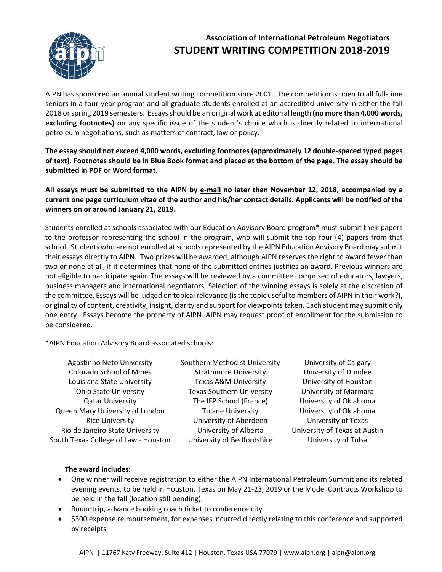

## **Association of International Petroleum Negotiators STUDENT WRITING COMPETITION 2018-2019**

AIPN has sponsored an annual student writing competition since 2001. The competition is open to all full-time seniors in a four-year program and all graduate students enrolled at an accredited university in either the fall 2018 or spring 2019 semesters. Essays should be an original work at editorial length **(no more than 4,000 words, excluding footnotes)** on any specific issue of the student's choice which is directly related to international petroleum negotiations, such as matters of contract, law or policy.

**The essay should not exceed 4,000 words, excluding footnotes (approximately 12 double-spaced typed pages of text). Footnotes should be in Blue Book format and placed at the bottom of the page. The essay should be submitted in PDF or Word format.**

**All essays must be submitted to the AIPN by e-mail no later than November 12, 2018, accompanied by a current one page curriculum vitae of the author and his/her contact details. Applicants will be notified of the winners on or around January 21, 2019.**

Students enrolled at schools associated with our Education Advisory Board program\* must submit their papers to the professor representing the school in the program, who will submit the top four (4) papers from that school. Students who are not enrolled at schools represented by the AIPN Education Advisory Board may submit their essays directly to AIPN. Two prizes will be awarded, although AIPN reserves the right to award fewer than two or none at all, if it determines that none of the submitted entries justifies an award. Previous winners are not eligible to participate again. The essays will be reviewed by a committee comprised of educators, lawyers, business managers and international negotiators. Selection of the winning essays is solely at the discretion of the committee. Essays will be judged on topical relevance (is the topic useful to members of AIPN in their work?), originality of content, creativity, insight, clarity and support for viewpoints taken. Each student may submit only one entry. Essays become the property of AIPN. AIPN may request proof of enrollment for the submission to be considered.

\*AIPN Education Advisory Board associated schools:

Agostinho Neto University Colorado School of Mines Louisiana State University Ohio State University Qatar University Queen Mary University of London Rice University Rio de Janeiro State University South Texas College of Law - Houston

Southern Methodist University Strathmore University Texas A&M University Texas Southern University The IFP School (France) Tulane University University of Aberdeen University of Alberta University of Bedfordshire

University of Calgary University of Dundee University of Houston University of Marmara University of Oklahoma University of Oklahoma University of Texas University of Texas at Austin University of Tulsa

## **The award includes:**

- One winner will receive registration to either the AIPN International Petroleum Summit and its related evening events, to be held in Houston, Texas on May 21-23, 2019 or the Model Contracts Workshop to be held in the fall (location still pending).
- Roundtrip, advance booking coach ticket to conference city
- \$300 expense reimbursement, for expenses incurred directly relating to this conference and supported by receipts